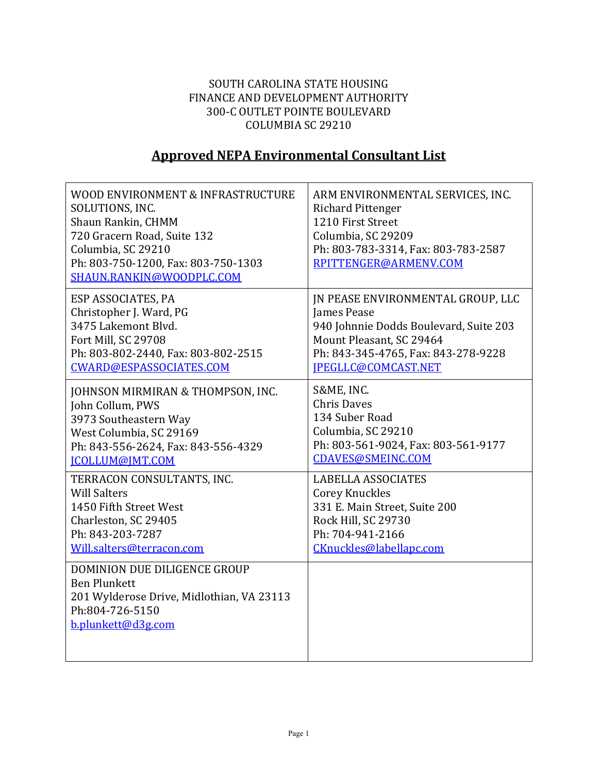## SOUTH CAROLINA STATE HOUSING FINANCE AND DEVELOPMENT AUTHORITY 300-C OUTLET POINTE BOULEVARD COLUMBIA SC 29210

## **Approved NEPA Environmental Consultant List**

| WOOD ENVIRONMENT & INFRASTRUCTURE<br>SOLUTIONS, INC.<br>Shaun Rankin, CHMM<br>720 Gracern Road, Suite 132<br>Columbia, SC 29210<br>Ph: 803-750-1200, Fax: 803-750-1303<br>SHAUN.RANKIN@WOODPLC.COM | ARM ENVIRONMENTAL SERVICES, INC.<br><b>Richard Pittenger</b><br>1210 First Street<br>Columbia, SC 29209<br>Ph: 803-783-3314, Fax: 803-783-2587<br>RPITTENGER@ARMENV.COM |
|----------------------------------------------------------------------------------------------------------------------------------------------------------------------------------------------------|-------------------------------------------------------------------------------------------------------------------------------------------------------------------------|
| ESP ASSOCIATES, PA                                                                                                                                                                                 | IN PEASE ENVIRONMENTAL GROUP, LLC                                                                                                                                       |
| Christopher J. Ward, PG                                                                                                                                                                            | James Pease                                                                                                                                                             |
| 3475 Lakemont Blvd.                                                                                                                                                                                | 940 Johnnie Dodds Boulevard, Suite 203                                                                                                                                  |
| Fort Mill, SC 29708                                                                                                                                                                                | Mount Pleasant, SC 29464                                                                                                                                                |
| Ph: 803-802-2440, Fax: 803-802-2515                                                                                                                                                                | Ph: 843-345-4765, Fax: 843-278-9228                                                                                                                                     |
| CWARD@ESPASSOCIATES.COM                                                                                                                                                                            | IPEGLLC@COMCAST.NET                                                                                                                                                     |
| JOHNSON MIRMIRAN & THOMPSON, INC.                                                                                                                                                                  | S&ME, INC.                                                                                                                                                              |
| John Collum, PWS                                                                                                                                                                                   | <b>Chris Daves</b>                                                                                                                                                      |
| 3973 Southeastern Way                                                                                                                                                                              | 134 Suber Road                                                                                                                                                          |
| West Columbia, SC 29169                                                                                                                                                                            | Columbia, SC 29210                                                                                                                                                      |
| Ph: 843-556-2624, Fax: 843-556-4329                                                                                                                                                                | Ph: 803-561-9024, Fax: 803-561-9177                                                                                                                                     |
| <b>ICOLLUM@IMT.COM</b>                                                                                                                                                                             | CDAVES@SMEINC.COM                                                                                                                                                       |
| TERRACON CONSULTANTS, INC.                                                                                                                                                                         | <b>LABELLA ASSOCIATES</b>                                                                                                                                               |
| <b>Will Salters</b>                                                                                                                                                                                | <b>Corey Knuckles</b>                                                                                                                                                   |
| 1450 Fifth Street West                                                                                                                                                                             | 331 E. Main Street, Suite 200                                                                                                                                           |
| Charleston, SC 29405                                                                                                                                                                               | <b>Rock Hill, SC 29730</b>                                                                                                                                              |
| Ph: 843-203-7287                                                                                                                                                                                   | Ph: 704-941-2166                                                                                                                                                        |
| Will.salters@terracon.com                                                                                                                                                                          | CKnuckles@labellapc.com                                                                                                                                                 |
| DOMINION DUE DILIGENCE GROUP<br><b>Ben Plunkett</b><br>201 Wylderose Drive, Midlothian, VA 23113<br>Ph:804-726-5150<br>b.plunkett@d3g.com                                                          |                                                                                                                                                                         |